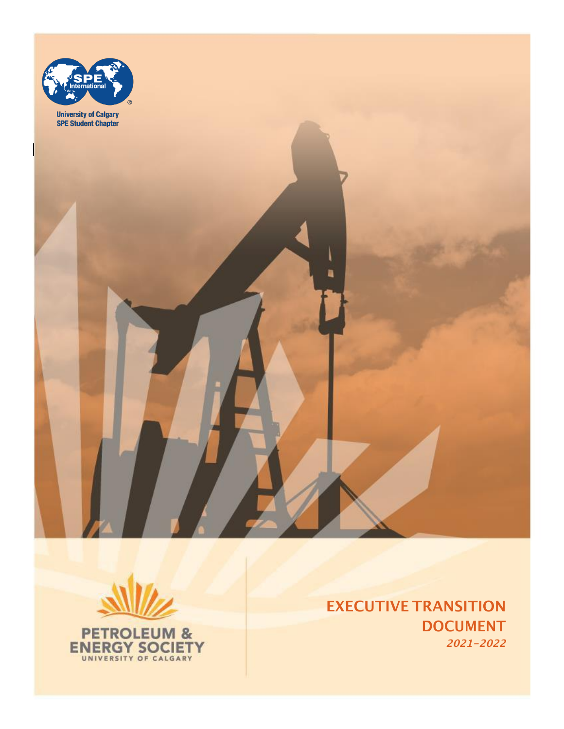



**ENERGY SOCIETY** 

EXECUTIVE TRANSITION DOCUMENT **2021-2022**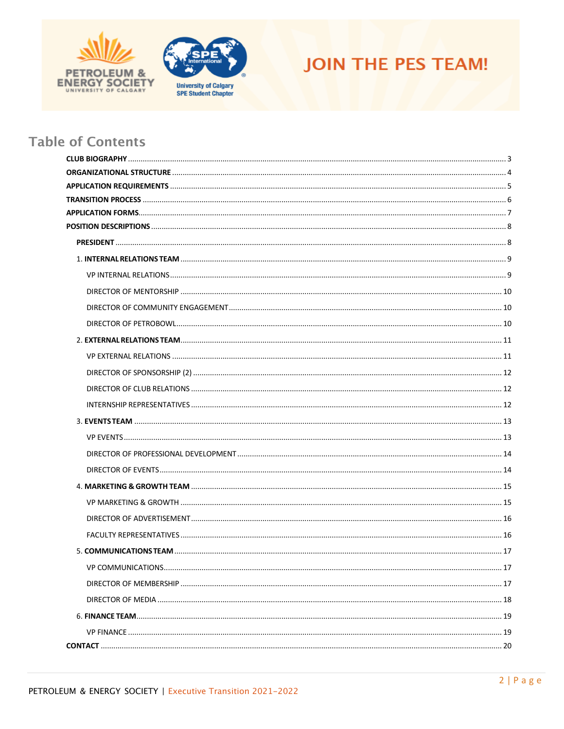





# **Table of Contents**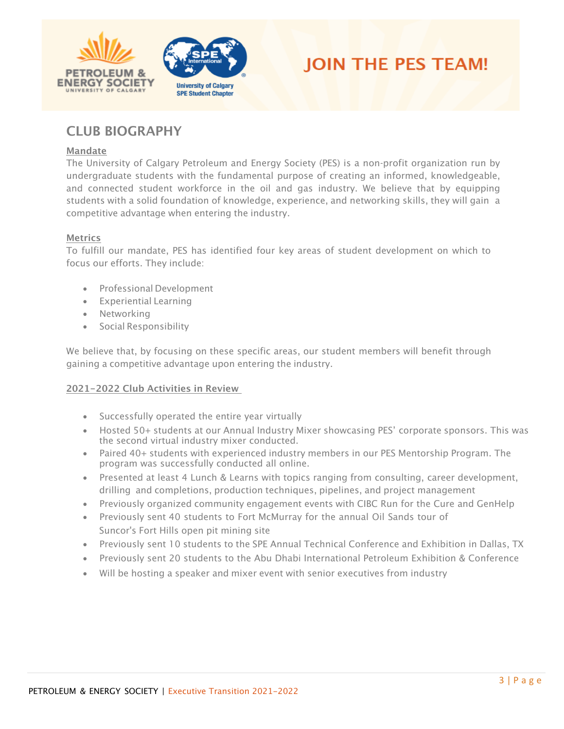





# <span id="page-2-0"></span>CLUB BIOGRAPHY

#### Mandate

The University of Calgary Petroleum and Energy Society (PES) is a non-profit organization run by undergraduate students with the fundamental purpose of creating an informed, knowledgeable, and connected student workforce in the oil and gas industry. We believe that by equipping students with a solid foundation of knowledge, experience, and networking skills, they will gain a competitive advantage when entering the industry.

#### **Metrics**

To fulfill our mandate, PES has identified four key areas of student development on which to focus our efforts. They include:

- Professional Development
- Experiential Learning
- Networking
- Social Responsibility

We believe that, by focusing on these specific areas, our student members will benefit through gaining a competitive advantage upon entering the industry.

#### 202**1-2022** Club Activities in Review

- Successfully operated the entire year virtually
- Hosted 50+ students at our Annual Industry Mixer showcasing PES' corporate sponsors. This was the second virtual industry mixer conducted.
- Paired 40+ students with experienced industry members in our PES Mentorship Program. The program was successfully conducted all online.
- Presented at least 4 Lunch & Learns with topics ranging from consulting, career development, drilling and completions, production techniques, pipelines, and project management
- Previously organized community engagement events with CIBC Run for the Cure and GenHelp
- Previously sent 40 students to Fort McMurray for the annual Oil Sands tour of Suncor's Fort Hills open pit mining site
- Previously sent 10 students to the SPE Annual Technical Conference and Exhibition in Dallas, TX
- Previously sent 20 students to the Abu Dhabi International Petroleum Exhibition & Conference
- Will be hosting a speaker and mixer event with senior executives from industry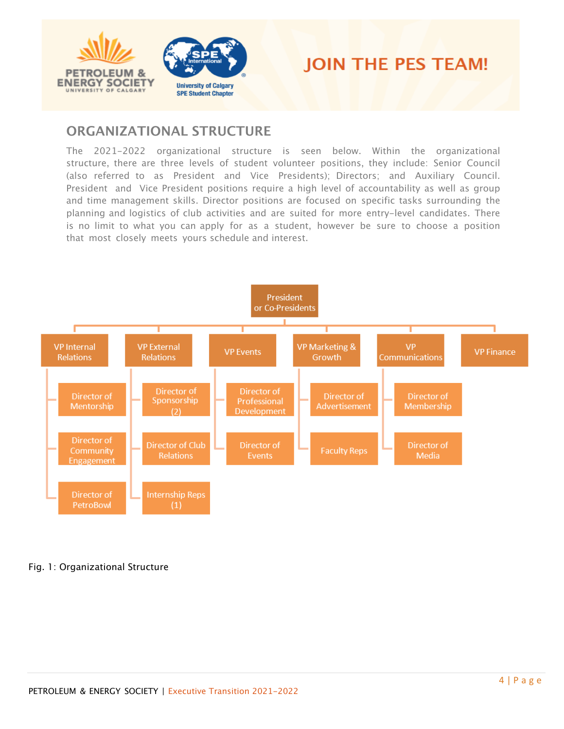



# <span id="page-3-0"></span>**ORGANIZATIONAL STRUCTURE**

The 2021-2022 organizational structure is seen below. Within the organizational structure, there are three levels of student volunteer positions, they include: Senior Council (also referred to as President and Vice Presidents); Directors; and Auxiliary Council. President and Vice President positions require a high level of accountability as well as group and time management skills. Director positions are focused on specific tasks surrounding the planning and logistics of club activities and are suited for more entry-level candidates. There is no limit to what you can apply for as a student, however be sure to choose a position that most closely meets yours schedule and interest.



### Fig. 1: Organizational Structure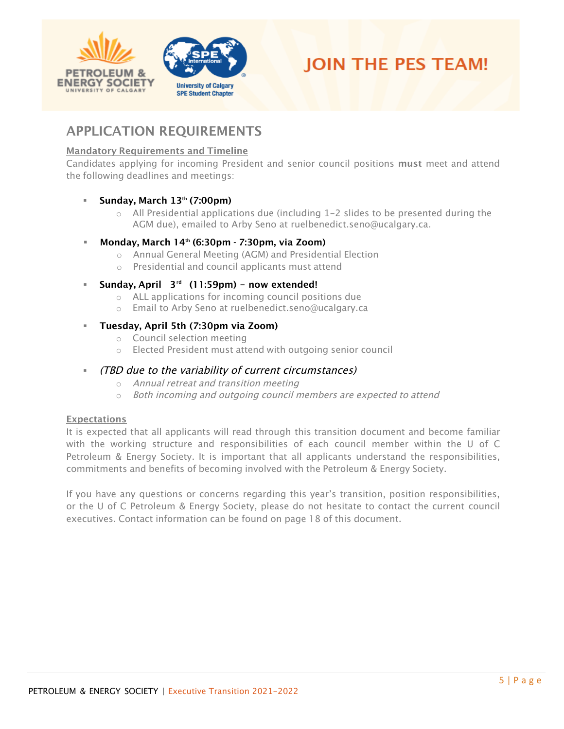



# <span id="page-4-0"></span>APPLICATION REQUIREMENTS

## Mandatory Requirements and Timeline

Candidates applying for incoming President and senior council positions must meet and attend the following deadlines and meetings:

### ▪ **Sun**day, March **13**th (**7:00**pm)

 $\circ$  All Presidential applications due (including 1-2 slides to be presented during the AGM due), emailed to Arby Seno at ruelbenedict.seno@ucalgary.ca.

## ▪ **Monday**, March 1**4** th (6:**3**0pm - 7:**3**0pm**, via Zoom**)

- o Annual General Meeting (AGM) and Presidential Election
- o Presidential and council applicants must attend

## ▪ **Sunday, April 3 rd** (11:59pm) **- now extended!**

- o ALL applications for incoming council positions due
- o Email to Arby Seno at ruelbenedict.seno@ucalgary.ca

### ▪ **Tuesday, April 5th (7:30pm via Zoom)**

- o Council selection meeting
- o Elected President must attend with outgoing senior council

## ▪ (TBD due to the variability of current circumstances)

- o Annual retreat and transition meeting
- o Both incoming and outgoing council members are expected to attend

### **Expectations**

It is expected that all applicants will read through this transition document and become familiar with the working structure and responsibilities of each council member within the U of C Petroleum & Energy Society. It is important that all applicants understand the responsibilities, commitments and benefits of becoming involved with the Petroleum & Energy Society.

If you have any questions or concerns regarding this year's transition, position responsibilities, or the U of C Petroleum & Energy Society, please do not hesitate to contact the current council executives. Contact information can be found on page 18 of this document.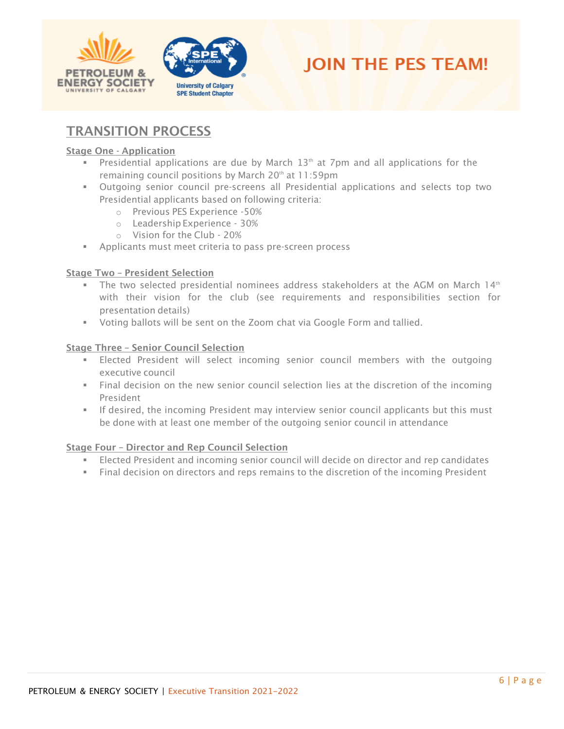





# <span id="page-5-0"></span>TRANSITION PROCESS

#### Stage One - Application

- Presidential applications are due by March  $13<sup>th</sup>$  at 7pm and all applications for the remaining council positions by March  $20<sup>th</sup>$  at  $11:59$ pm
- **■** Outgoing senior council pre-screens all Presidential applications and selects top two Presidential applicants based on following criteria:
	- o Previous PES Experience -50%
	- o Leadership Experience 30%
	- o Vision for the Club 20%
- Applicants must meet criteria to pass pre-screen process

#### Stage Two – President Selection

- $\textcolor{red}{\bullet}$  The two selected presidential nominees address stakeholders at the AGM on March 14th with their vision for the club (see requirements and responsibilities section for presentation details)
- Voting ballots will be sent on the Zoom chat via Google Form and tallied.

#### Stage Three – Senior Council Selection

- **Elected President will select incoming senior council members with the outgoing** executive council
- Final decision on the new senior council selection lies at the discretion of the incoming President
- **•** If desired, the incoming President may interview senior council applicants but this must be done with at least one member of the outgoing senior council in attendance

#### Stage Four – Director and Rep Council Selection

- **Elected President and incoming senior council will decide on director and rep candidates**
- Final decision on directors and reps remains to the discretion of the incoming President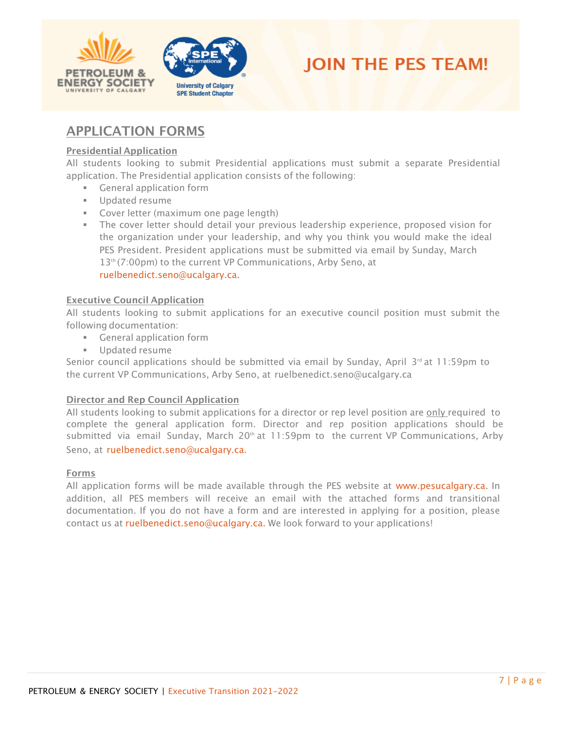



# <span id="page-6-0"></span>APPLICATION FORMS

#### Presidential Application

All students looking to submit Presidential applications must submit a separate Presidential application. The Presidential application consists of the following:

- **EXEC** General application form
- Updated resume
- **EXECOVER LETTER (MAXIMUM ONE page length)**
- **E** The cover letter should detail your previous leadership experience, proposed vision for the organization under your leadership, and why you think you would make the ideal PES President. President applications must be submitted via email by Sunday, March 13<sup>th</sup> (7:00pm) to the current VP Communications, Arby Seno, at ruelbenedict.seno@ucalgary.ca.

#### Executive Council Application

All students looking to submit applications for an executive council position must submit the following documentation:

- General application form
- Updated resume

Senior council applications should be submitted via email by Sunday, April 3<sup>rd</sup> at 11:59pm to the current VP Communications, Arby Seno, at ruelbenedict.seno@ucalgary.ca

#### Director and Rep Council Application

All students looking to submit applications for a director or rep level position are only required to complete the general application form. Director and rep position applications should be submitted via email Sunday, March  $20<sup>th</sup>$  at 11:59pm to the current VP Communications, Arby Seno, at ruelbenedict.seno@ucalgary.ca.

#### Forms

All application forms will be made available through the PES website at [www.pesucalgary.ca.](http://www.pesucalgary.ca/) In addition, all PES members will receive an email with the attached forms and transitional documentation. If you do not have a form and are interested in applying for a position, please contact us at ruelbenedict.seno@ucalgary.ca. We look forward to your applications!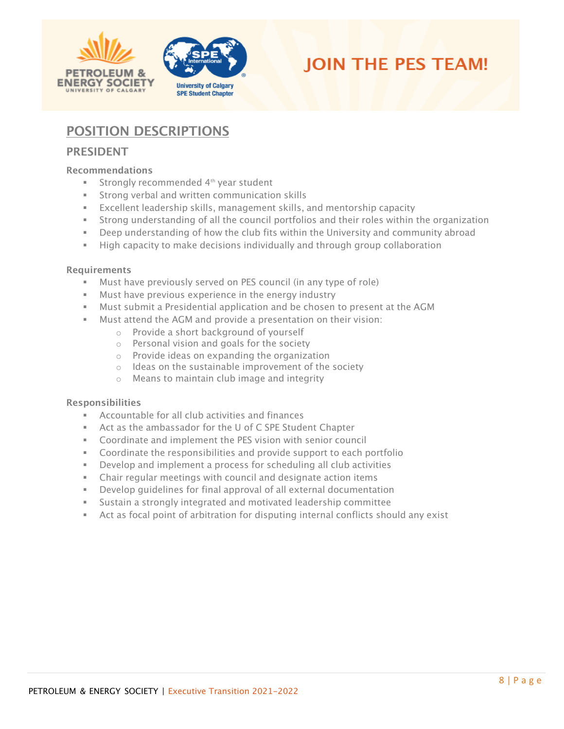



# <span id="page-7-0"></span>POSITION DESCRIPTIONS

## <span id="page-7-1"></span>PRESIDENT

#### Recommendations

- Strongly recommended 4<sup>th</sup> year student
- Strong verbal and written communication skills
- Excellent leadership skills, management skills, and mentorship capacity
- **EXECT** Strong understanding of all the council portfolios and their roles within the organization
- **•** Deep understanding of how the club fits within the University and community abroad
- **E** High capacity to make decisions individually and through group collaboration

#### Requirements

- Must have previously served on PES council (in any type of role)
- Must have previous experience in the energy industry
- **■** Must submit a Presidential application and be chosen to present at the AGM
- Must attend the AGM and provide a presentation on their vision:
	- o Provide a short background of yourself
	- o Personal vision and goals for the society
	- o Provide ideas on expanding the organization
	- o Ideas on the sustainable improvement of the society
	- o Means to maintain club image and integrity

- Accountable for all club activities and finances
- Act as the ambassador for the U of C SPE Student Chapter
- Coordinate and implement the PES vision with senior council
- Coordinate the responsibilities and provide support to each portfolio
- Develop and implement a process for scheduling all club activities
- Chair regular meetings with council and designate action items
- Develop quidelines for final approval of all external documentation
- Sustain a strongly integrated and motivated leadership committee
- **EXECT** Act as focal point of arbitration for disputing internal conflicts should any exist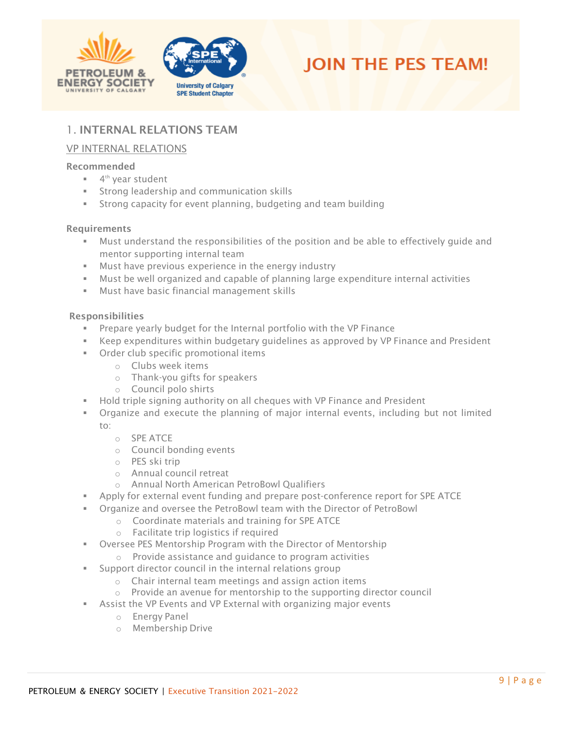



# <span id="page-8-0"></span>1. INTERNAL RELATIONS TEAM

## <span id="page-8-1"></span>VP INTERNAL RELATIONS

#### Recommended

- 4<sup>th</sup> year student
- **EXECT** Strong leadership and communication skills
- **EXECT** Strong capacity for event planning, budgeting and team building

#### **Requirements**

- **■** Must understand the responsibilities of the position and be able to effectively quide and mentor supporting internal team
- Must have previous experience in the energy industry
- Must be well organized and capable of planning large expenditure internal activities
- Must have basic financial management skills

- Prepare yearly budget for the Internal portfolio with the VP Finance
- Keep expenditures within budgetary quidelines as approved by VP Finance and President
- Order club specific promotional items
	- o Clubs week items
	- o Thank-you gifts for speakers
	- o Council polo shirts
- **EXECT** Hold triple signing authority on all cheques with VP Finance and President
- Organize and execute the planning of major internal events, including but not limited to:
	- o SPE ATCE
	- o Council bonding events
	- o PES ski trip
	- o Annual council retreat
	- o Annual North American PetroBowl Qualifiers
- Apply for external event funding and prepare post-conference report for SPE ATCE
- Organize and oversee the PetroBowl team with the Director of PetroBowl
	- o Coordinate materials and training for SPE ATCE
	- o Facilitate trip logistics if required
- **EXED THE OVERSEE PES Mentorship Program with the Director of Mentorship** 
	- o Provide assistance and guidance to program activities
- **Support director council in the internal relations group** 
	- o Chair internal team meetings and assign action items
	- o Provide an avenue for mentorship to the supporting director council
- <span id="page-8-2"></span>**EXE** Assist the VP Events and VP External with organizing major events
	- o Energy Panel
	- o Membership Drive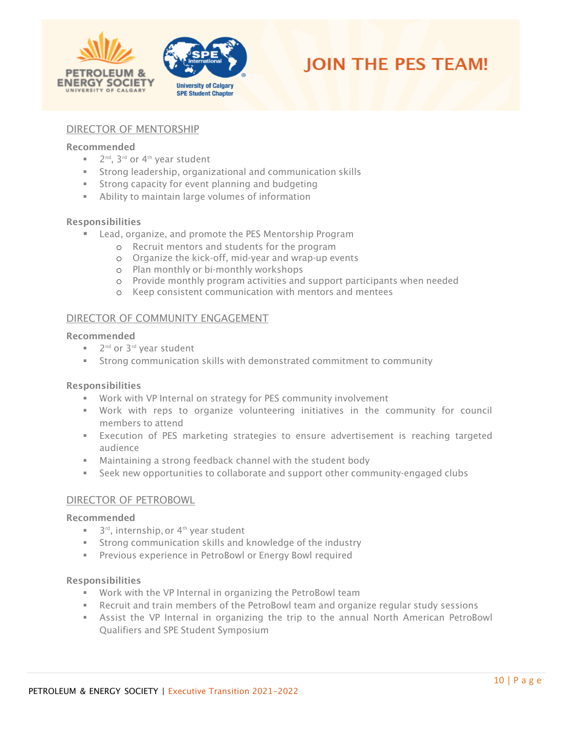



#### DIRECTOR OF MENTORSHIP

#### Recommended

- 2<sup>nd</sup>, 3<sup>rd</sup> or 4<sup>th</sup> year student
- **EXTERGHEE** Strong leadership, organizational and communication skills
- Strong capacity for event planning and budgeting
- **EXED** Ability to maintain large volumes of information

#### Responsibilities

- Lead, organize, and promote the PES Mentorship Program
	- o Recruit mentors and students for the program
	- o Organize the kick-off, mid-year and wrap-up events
	- o Plan monthly or bi-monthly workshops
	- o Provide monthly program activities and support participants when needed
	- o Keep consistent communication with mentors and mentees

#### <span id="page-9-0"></span>DIRECTOR OF COMMUNITY ENGAGEMENT

#### Recommended

- 2<sup>nd</sup> or 3<sup>rd</sup> year student
- Strong communication skills with demonstrated commitment to community

#### Responsibilities

- Work with VP Internal on strategy for PES community involvement
- Work with reps to organize volunteering initiatives in the community for council members to attend
- **EXECUTERFIERG** of PES marketing strategies to ensure advertisement is reaching targeted audience
- Maintaining a strong feedback channel with the student body
- **EXECT** Seek new opportunities to collaborate and support other community-engaged clubs

#### <span id="page-9-1"></span>DIRECTOR OF PETROBOWL

#### Recommended

- $\blacksquare$  3<sup>rd</sup>, internship, or 4<sup>th</sup> year student
- **EXTENGE COMMUNICATION SKILLS AND KNOWLED AND STATE IN STATE IN STATE IN STATE IN STATE IN STATE IN STATE IN ST**
- **EXP** Previous experience in PetroBowl or Energy Bowl required

- Work with the VP Internal in organizing the PetroBowl team
- **EXECT** Recruit and train members of the PetroBowl team and organize regular study sessions
- **EXECT Assist the VP Internal in organizing the trip to the annual North American PetroBowl** Qualifiers and SPE Student Symposium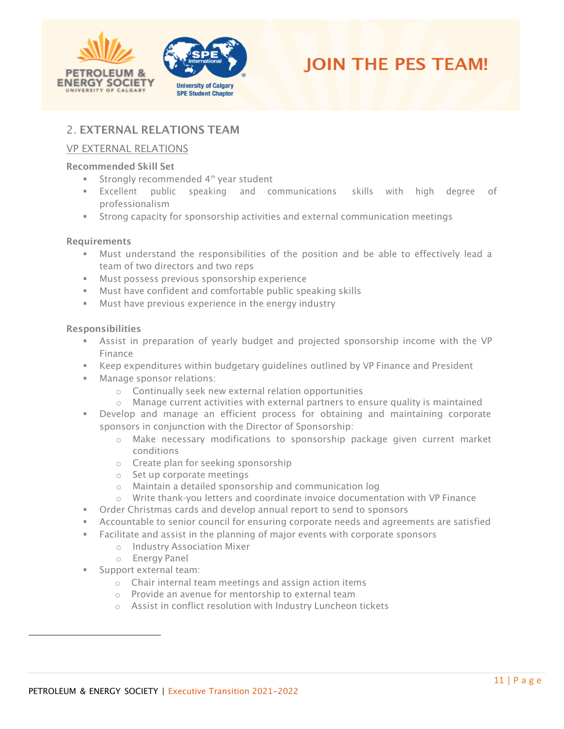



# <span id="page-10-0"></span>2. EXTERNAL RELATIONS TEAM

## <span id="page-10-1"></span>VP EXTERNAL RELATIONS

#### Recommended Skill Set

- Strongly recommended 4<sup>th</sup> year student
- Excellent public speaking and communications skills with high degree of professionalism
- **EXECT** Strong capacity for sponsorship activities and external communication meetings

#### Requirements

- Must understand the responsibilities of the position and be able to effectively lead a team of two directors and two reps
- Must possess previous sponsorship experience
- Must have confident and comfortable public speaking skills
- **■** Must have previous experience in the energy industry

- Assist in preparation of yearly budget and projected sponsorship income with the VP Finance
- **EXECT** Keep expenditures within budgetary guidelines outlined by VP Finance and President
- Manage sponsor relations:
	- o Continually seek new external relation opportunities
	- $\circ$  Manage current activities with external partners to ensure quality is maintained
- Develop and manage an efficient process for obtaining and maintaining corporate sponsors in conjunction with the Director of Sponsorship:
	- o Make necessary modifications to sponsorship package given current market conditions
	- o Create plan for seeking sponsorship
	- o Set up corporate meetings
	- o Maintain a detailed sponsorship and communication log
	- o Write thank-you letters and coordinate invoice documentation with VP Finance
- **•** Order Christmas cards and develop annual report to send to sponsors
- **EXECOUNTABLE TO SENIOUS COUNCIL FOR EXAM** corporate needs and agreements are satisfied
- Facilitate and assist in the planning of major events with corporate sponsors
	- o Industry Association Mixer
	- o Energy Panel
- Support external team:
	- o Chair internal team meetings and assign action items
	- o Provide an avenue for mentorship to external team
	- o Assist in conflict resolution with Industry Luncheon tickets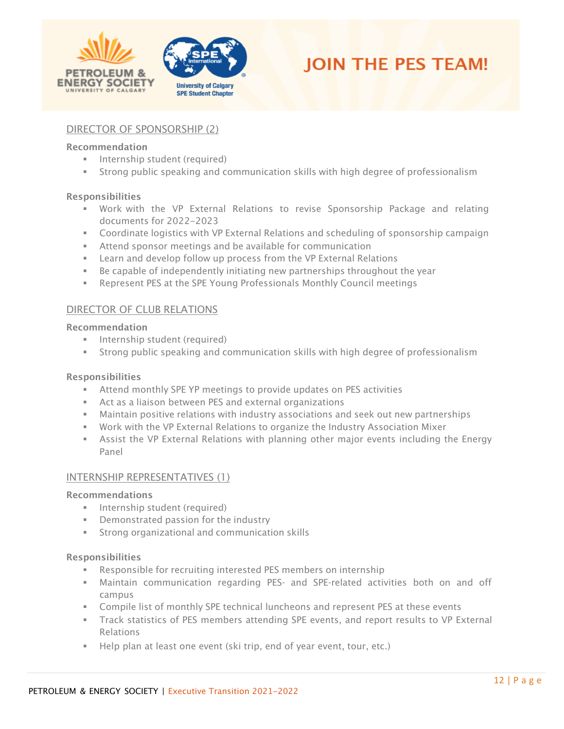



### <span id="page-11-0"></span>DIRECTOR OF SPONSORSHIP (2)

#### Recommendation

- **·** Internship student (required)
- **EXECT** Strong public speaking and communication skills with high degree of professionalism

#### Responsibilities

- Work with the VP External Relations to revise Sponsorship Package and relating documents for 2022-2023
- **Coordinate logistics with VP External Relations and scheduling of sponsorship campaign**
- Attend sponsor meetings and be available for communication
- Learn and develop follow up process from the VP External Relations
- **EXED** Be capable of independently initiating new partnerships throughout the year
- Represent PES at the SPE Young Professionals Monthly Council meetings

### <span id="page-11-1"></span>DIRECTOR OF CLUB RELATIONS

#### Recommendation

- **·** Internship student (required)
- **EXECT** Strong public speaking and communication skills with high degree of professionalism

#### Responsibilities

- **EXECT** Attend monthly SPE YP meetings to provide updates on PES activities
- Act as a liaison between PES and external organizations
- **■** Maintain positive relations with industry associations and seek out new partnerships
- Work with the VP External Relations to organize the Industry Association Mixer
- **EXECT** Assist the VP External Relations with planning other major events including the Energy Panel

#### <span id="page-11-2"></span>INTERNSHIP REPRESENTATIVES (1)

#### Recommendations

- **·** Internship student (required)
- Demonstrated passion for the industry
- **EXECTE:** Strong organizational and communication skills

- Responsible for recruiting interested PES members on internship
- **■** Maintain communication regarding PES- and SPE-related activities both on and off campus
- **EXECOMPHIST COMPTED EXECUTE:** Compile list of monthly SPE technical luncheons and represent PES at these events
- **•** Track statistics of PES members attending SPE events, and report results to VP External Relations
- Help plan at least one event (ski trip, end of year event, tour, etc.)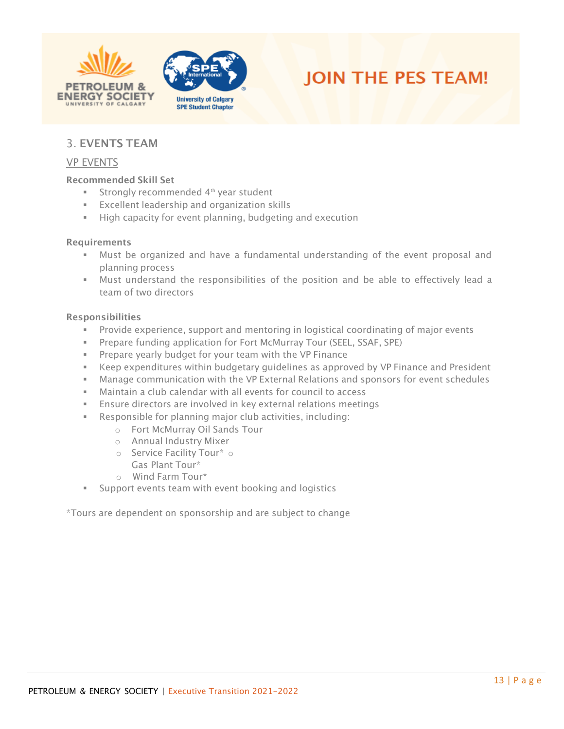





# <span id="page-12-0"></span>3. EVENTS TEAM

#### <span id="page-12-1"></span>VP EVENTS

#### Recommended Skill Set

- Strongly recommended 4<sup>th</sup> year student
- Excellent leadership and organization skills
- High capacity for event planning, budgeting and execution

#### Requirements

- Must be organized and have a fundamental understanding of the event proposal and planning process
- Must understand the responsibilities of the position and be able to effectively lead a team of two directors

#### Responsibilities

- **EXP** Provide experience, support and mentoring in logistical coordinating of major events
- Prepare funding application for Fort McMurray Tour (SEEL, SSAF, SPE)
- **EXECT** Prepare yearly budget for your team with the VP Finance
- **EX** Keep expenditures within budgetary guidelines as approved by VP Finance and President
- **■** Manage communication with the VP External Relations and sponsors for event schedules
- Maintain a club calendar with all events for council to access
- **Ensure directors are involved in key external relations meetings**
- Responsible for planning major club activities, including:
	- o Fort McMurray Oil Sands Tour
	- o Annual Industry Mixer
	- o Service Facility Tour\* o Gas Plant Tour\*
	- o Wind Farm Tour\*
- Support events team with event booking and logistics

<span id="page-12-2"></span>\*Tours are dependent on sponsorship and are subject to change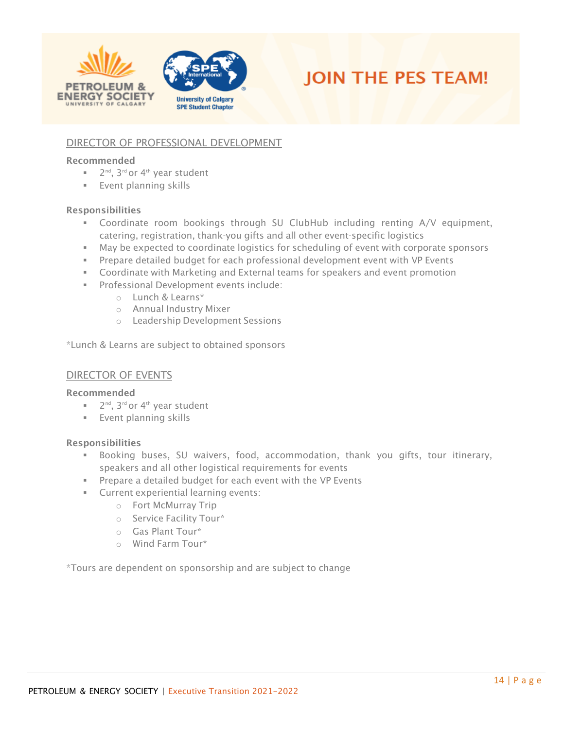



## DIRECTOR OF PROFESSIONAL DEVELOPMENT

#### Recommended

- 2<sup>nd</sup>, 3<sup>rd</sup> or 4<sup>th</sup> year student
- **Event planning skills**

#### Responsibilities

- Coordinate room bookings through SU ClubHub including renting A/V equipment, catering, registration, thank-you gifts and all other event-specific logistics
- May be expected to coordinate logistics for scheduling of event with corporate sponsors
- **•** Prepare detailed budget for each professional development event with VP Events
- **•** Coordinate with Marketing and External teams for speakers and event promotion
- Professional Development events include:
	- o Lunch & Learns\*
	- o Annual Industry Mixer
	- o Leadership Development Sessions

\*Lunch & Learns are subject to obtained sponsors

#### <span id="page-13-0"></span>DIRECTOR OF EVENTS

#### Recommended

- 2<sup>nd</sup>, 3<sup>rd</sup> or 4<sup>th</sup> year student
- **Event planning skills**

#### Responsibilities

- Booking buses, SU waivers, food, accommodation, thank you gifts, tour itinerary, speakers and all other logistical requirements for events
- Prepare a detailed budget for each event with the VP Events
- **EXECUTE:** Current experiential learning events:
	- o Fort McMurray Trip
	- o Service Facility Tour\*
	- o Gas Plant Tour\*
	- o Wind Farm Tour\*

<span id="page-13-1"></span>\*Tours are dependent on sponsorship and are subject to change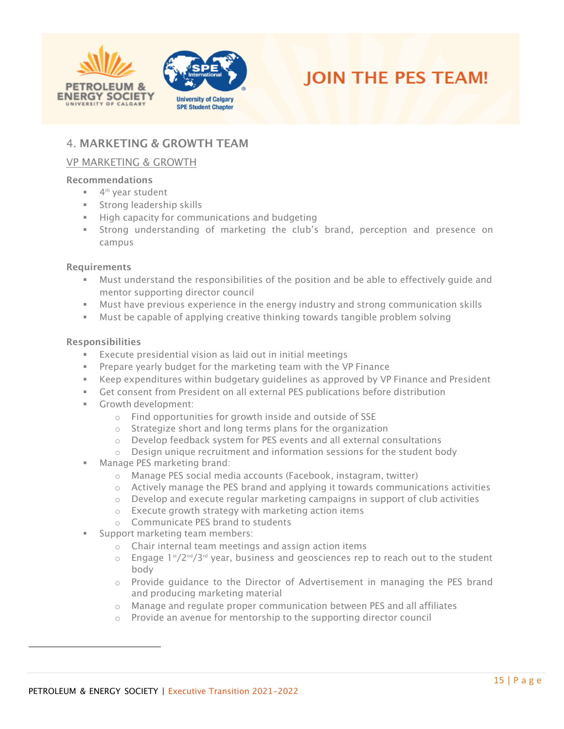



# 4. MARKETING & GROWTH TEAM

## <span id="page-14-0"></span>VP MARKETING & GROWTH

#### Recommendations

- 4<sup>th</sup> year student
- Strong leadership skills
- **■** High capacity for communications and budgeting
- Strong understanding of marketing the club's brand, perception and presence on campus

#### **Requirements**

- **■** Must understand the responsibilities of the position and be able to effectively quide and mentor supporting director council
- **■** Must have previous experience in the energy industry and strong communication skills
- Must be capable of applying creative thinking towards tangible problem solving

- Execute presidential vision as laid out in initial meetings
- **Prepare yearly budget for the marketing team with the VP Finance**
- Keep expenditures within budgetary guidelines as approved by VP Finance and President
- Get consent from President on all external PES publications before distribution
- Growth development:
	- o Find opportunities for growth inside and outside of SSE
	- o Strategize short and long terms plans for the organization
	- o Develop feedback system for PES events and all external consultations
	- o Design unique recruitment and information sessions for the student body
- **■** Manage PES marketing brand:
	- o Manage PES social media accounts (Facebook, instagram, twitter)
	- $\circ$  Actively manage the PES brand and applying it towards communications activities
	- $\circ$  Develop and execute regular marketing campaigns in support of club activities
	- o Execute growth strategy with marketing action items
	- o Communicate PES brand to students
- Support marketing team members:
	- o Chair internal team meetings and assign action items
	- $\circ$  Engage 1st/2<sup>nd</sup>/3<sup>rd</sup> year, business and geosciences rep to reach out to the student body
	- o Provide guidance to the Director of Advertisement in managing the PES brand and producing marketing material
	- $\circ$  Manage and regulate proper communication between PES and all affiliates
	- o Provide an avenue for mentorship to the supporting director council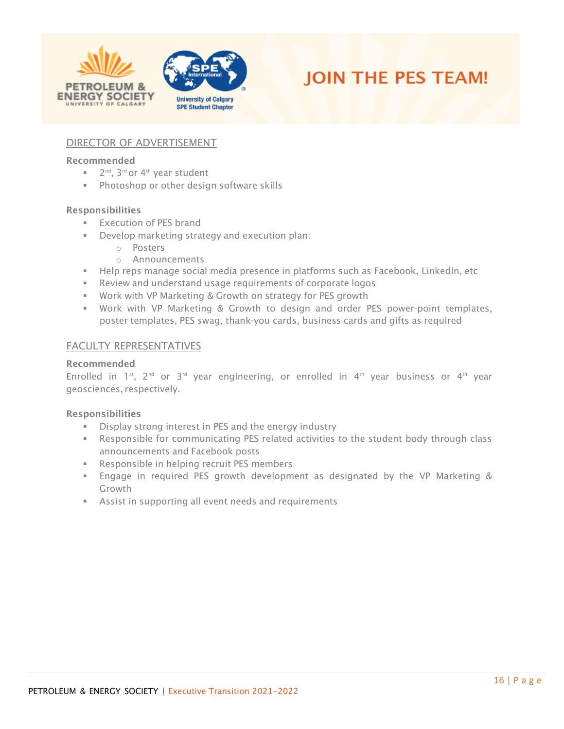



## <span id="page-15-0"></span>DIRECTOR OF ADVERTISEMENT

#### Recommended

- 2<sup>nd</sup>, 3<sup>rd</sup> or 4<sup>th</sup> year student
- Photoshop or other design software skills

#### Responsibilities

- **Execution of PES brand**
- Develop marketing strategy and execution plan:
	- o Posters
	- o Announcements
- **EXECT** Help reps manage social media presence in platforms such as Facebook, LinkedIn, etc
- Review and understand usage requirements of corporate logos
- Work with VP Marketing & Growth on strategy for PES growth
- Work with VP Marketing & Growth to design and order PES power-point templates, poster templates, PES swag, thank-you cards, business cards and gifts as required

#### <span id="page-15-1"></span>FACULTY REPRESENTATIVES

#### Recommended

Enrolled in 1<sup>st</sup>, 2<sup>nd</sup> or 3<sup>rd</sup> year engineering, or enrolled in 4<sup>th</sup> year business or 4<sup>th</sup> year geosciences, respectively.

- **EXECT** Display strong interest in PES and the energy industry
- **EXECT** Responsible for communicating PES related activities to the student body through class announcements and Facebook posts
- Responsible in helping recruit PES members
- Engage in required PES growth development as designated by the VP Marketing & Growth
- **EXE** Assist in supporting all event needs and requirements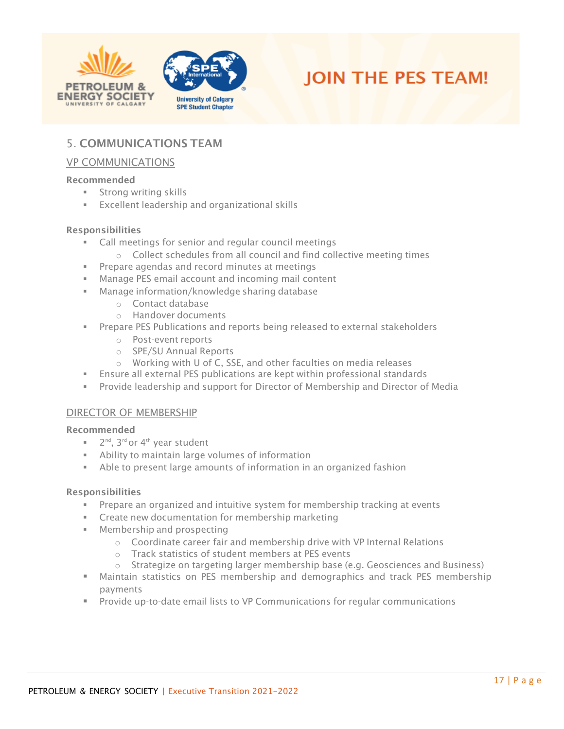





# <span id="page-16-0"></span>5. COMMUNICATIONS TEAM

#### <span id="page-16-1"></span>VP COMMUNICATIONS

#### Recommended

- **EXECUTE:** Strong writing skills
- Excellent leadership and organizational skills

#### Responsibilities

- Call meetings for senior and regular council meetings
- o Collect schedules from all council and find collective meeting times
- Prepare agendas and record minutes at meetings
- Manage PES email account and incoming mail content
- Manage information/knowledge sharing database
	- o Contact database
	- o Handover documents
- **•** Prepare PES Publications and reports being released to external stakeholders
	- o Post-event reports
	- o SPE/SU Annual Reports
	- o Working with U of C, SSE, and other faculties on media releases
- **Ensure all external PES publications are kept within professional standards**
- Provide leadership and support for Director of Membership and Director of Media

#### <span id="page-16-2"></span>DIRECTOR OF MEMBERSHIP

#### Recommended

- 2<sup>nd</sup>, 3<sup>rd</sup> or 4<sup>th</sup> year student
- **EXED:** Ability to maintain large volumes of information
- Able to present large amounts of information in an organized fashion

- **•** Prepare an organized and intuitive system for membership tracking at events
- Create new documentation for membership marketing
- Membership and prospecting
	- o Coordinate career fair and membership drive with VP Internal Relations
	- o Track statistics of student members at PES events
	- o Strategize on targeting larger membership base (e.g. Geosciences and Business)
- Maintain statistics on PES membership and demographics and track PES membership payments
- Provide up-to-date email lists to VP Communications for regular communications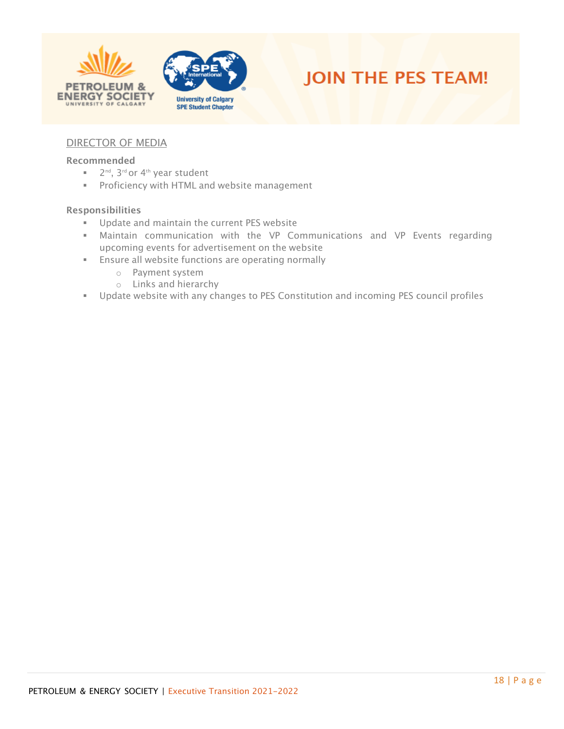





## <span id="page-17-0"></span>DIRECTOR OF MEDIA

#### Recommended

- 2<sup>nd</sup>, 3<sup>rd</sup> or 4<sup>th</sup> year student
- **Proficiency with HTML and website management**

- **■** Update and maintain the current PES website
- **■** Maintain communication with the VP Communications and VP Events regarding upcoming events for advertisement on the website
- **Ensure all website functions are operating normally** 
	- o Payment system
	- o Links and hierarchy
- Update website with any changes to PES Constitution and incoming PES council profiles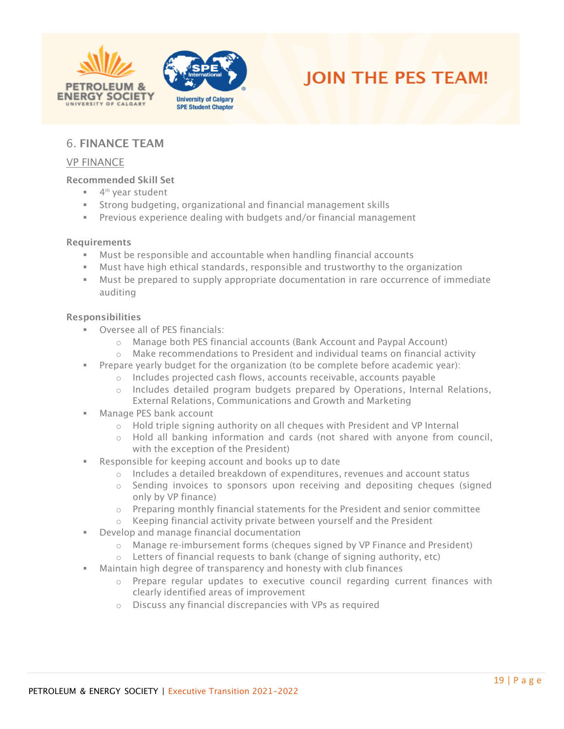





# <span id="page-18-0"></span>6. FINANCE TEAM

#### <span id="page-18-1"></span>VP FINANCE

#### Recommended Skill Set

- 4<sup>th</sup> year student
- Strong budgeting, organizational and financial management skills
- Previous experience dealing with budgets and/or financial management

#### Requirements

- Must be responsible and accountable when handling financial accounts
- Must have high ethical standards, responsible and trustworthy to the organization
- Must be prepared to supply appropriate documentation in rare occurrence of immediate auditing

- Oversee all of PES financials:
	- o Manage both PES financial accounts (Bank Account and Paypal Account)
	- $\circ$  Make recommendations to President and individual teams on financial activity
- Prepare yearly budget for the organization (to be complete before academic year):
	- o Includes projected cash flows, accounts receivable, accounts payable
	- o Includes detailed program budgets prepared by Operations, Internal Relations, External Relations, Communications and Growth and Marketing
- Manage PES bank account
	- o Hold triple signing authority on all cheques with President and VP Internal
	- $\circ$  Hold all banking information and cards (not shared with anyone from council, with the exception of the President)
- Responsible for keeping account and books up to date
	- $\circ$  Includes a detailed breakdown of expenditures, revenues and account status
	- o Sending invoices to sponsors upon receiving and depositing cheques (signed only by VP finance)
	- $\circ$  Preparing monthly financial statements for the President and senior committee
	- o Keeping financial activity private between yourself and the President
- Develop and manage financial documentation
	- $\circ$  Manage re-imbursement forms (cheques signed by VP Finance and President)
	- $\circ$  Letters of financial requests to bank (change of signing authority, etc)
- Maintain high degree of transparency and honesty with club finances
	- $\circ$  Prepare regular updates to executive council regarding current finances with clearly identified areas of improvement
	- o Discuss any financial discrepancies with VPs as required